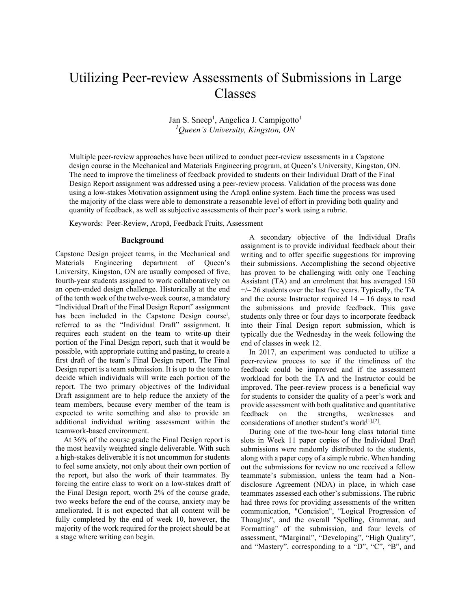# Utilizing Peer-review Assessments of Submissions in Large Classes

Jan S. Sneep<sup>1</sup>, Angelica J. Campigotto<sup>1</sup> *<sup>1</sup>Queen's University, Kingston, ON*

Multiple peer-review approaches have been utilized to conduct peer-review assessments in a Capstone design course in the Mechanical and Materials Engineering program, at Queen's University, Kingston, ON. The need to improve the timeliness of feedback provided to students on their Individual Draft of the Final Design Report assignment was addressed using a peer-review process. Validation of the process was done using a low-stakes Motivation assignment using the Aropä online system. Each time the process was used the majority of the class were able to demonstrate a reasonable level of effort in providing both quality and quantity of feedback, as well as subjective assessments of their peer's work using a rubric.

Keywords:Peer-Review, Aropä, Feedback Fruits, Assessment

## **Background**

Capstone Design project teams, in the Mechanical and Materials Engineering department of Queen's University, Kingston, ON are usually composed of five, fourth-year students assigned to work collaboratively on an open-ended design challenge. Historically at the end of the tenth week of the twelve-week course, a mandatory "Individual Draft of the Final Design Report" assignment has been included in the Capstone Design course<sup>i</sup>, referred to as the "Individual Draft" assignment. It requires each student on the team to write-up their portion of the Final Design report, such that it would be possible, with appropriate cutting and pasting, to create a first draft of the team's Final Design report. The Final Design report is a team submission. It is up to the team to decide which individuals will write each portion of the report. The two primary objectives of the Individual Draft assignment are to help reduce the anxiety of the team members, because every member of the team is expected to write something and also to provide an additional individual writing assessment within the teamwork-based environment.

At 36% of the course grade the Final Design report is the most heavily weighted single deliverable. With such a high-stakes deliverable it is not uncommon for students to feel some anxiety, not only about their own portion of the report, but also the work of their teammates. By forcing the entire class to work on a low-stakes draft of the Final Design report, worth 2% of the course grade, two weeks before the end of the course, anxiety may be ameliorated. It is not expected that all content will be fully completed by the end of week 10, however, the majority of the work required for the project should be at a stage where writing can begin.

A secondary objective of the Individual Drafts assignment is to provide individual feedback about their writing and to offer specific suggestions for improving their submissions. Accomplishing the second objective has proven to be challenging with only one Teaching Assistant (TA) and an enrolment that has averaged 150  $+/- 26$  students over the last five years. Typically, the TA and the course Instructor required  $14 - 16$  days to read the submissions and provide feedback. This gave students only three or four days to incorporate feedback into their Final Design report submission, which is typically due the Wednesday in the week following the end of classes in week 12.

In 2017, an experiment was conducted to utilize a peer-review process to see if the timeliness of the feedback could be improved and if the assessment workload for both the TA and the Instructor could be improved. The peer-review process is a beneficial way for students to consider the quality of a peer's work and provide assessment with both qualitative and quantitative feedback on the strengths, weaknesses and considerations of another student's work[1],[2] .

During one of the two-hour long class tutorial time slots in Week 11 paper copies of the Individual Draft submissions were randomly distributed to the students, along with a paper copy of a simple rubric. When handing out the submissions for review no one received a fellow teammate's submission, unless the team had a Nondisclosure Agreement (NDA) in place, in which case teammates assessed each other's submissions. The rubric had three rows for providing assessments of the written communication, "Concision", "Logical Progression of Thoughts", and the overall "Spelling, Grammar, and Formatting" of the submission, and four levels of assessment, "Marginal", "Developing", "High Quality", and "Mastery", corresponding to a "D", "C", "B", and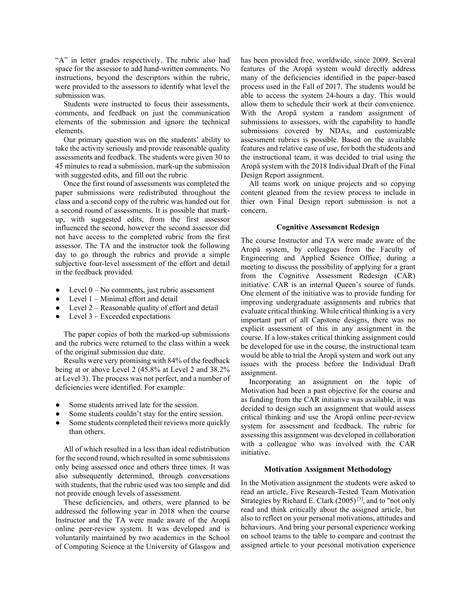"A" in letter grades respectively. The rubric also had space for the assessor to add hand-written comments. No instructions, beyond the descriptors within the rubric, were provided to the assessors to identify what level the submission was.

Students were instructed to focus their assessments, comments, and feedback on just the communication elements of the submission and ignore the technical elements.

Our primary question was on the students' ability to take the activity seriously and provide reasonable quality assessments and feedback. The students were given 30 to 45 minutes to read a submission, mark-up the submission with suggested edits, and fill out the rubric.

Once the first round of assessments was completed the paper submissions were redistributed throughout the class and a second copy of the rubric was handed out for a second round of assessments. It is possible that markup, with suggested edits, from the first assessor influenced the second, however the second assessor did not have access to the completed rubric from the first assessor. The TA and the instructor took the following day to go through the rubrics and provide a simple subjective four-level assessment of the effort and detail in the feedback provided.

- Level  $0 No$  comments, just rubric assessment
- Level  $1 -$  Minimal effort and detail
- Level  $2 -$  Reasonable quality of effort and detail
- $\bullet$  Level 3 Exceeded expectations

The paper copies of both the marked-up submissions and the rubrics were returned to the class within a week of the original submission due date.

Results were very promising with 84% of the feedback being at or above Level 2 (45.8% at Level 2 and 38.2% at Level 3). The process was not perfect, and a number of deficiencies were identified. For example:

- Some students arrived late for the session.
- Some students couldn't stay for the entire session.
- Some students completed their reviews more quickly than others.

All of which resulted in a less than ideal redistribution for the second round, which resulted in some submissions only being assessed once and others three times. It was also subsequently determined, through conversations with students, that the rubric used was too simple and did not provide enough levels of assessment.

These deficiencies, and others, were planned to be addressed the following year in 2018 when the course Instructor and the TA were made aware of the Aropä online peer-review system. It was developed and is voluntarily maintained by two academics in the School of Computing Science at the University of Glasgow and

has been provided free, worldwide, since 2009. Several features of the Aropä system would directly address many of the deficiencies identified in the paper-based process used in the Fall of 2017. The students would be able to access the system 24-hours a day. This would allow them to schedule their work at their convenience. With the Aropä system a random assignment of submissions to assessors, with the capability to handle submissions covered by NDAs, and customizable assessment rubrics is possible. Based on the available features and relative ease of use, for both the students and the instructional team, it was decided to trial using the Aropä system with the 2018 Individual Draft of the Final Design Report assignment.

All teams work on unique projects and so copying content gleaned from the review process to include in thier own Final Design report submission is not a concern.

## **Cognitive Assessment Redesign**

The course Instructor and TA were made aware of the Aropä system, by colleagues from the Faculty of Engineering and Applied Science Office, during a meeting to discuss the possibility of applying for a grant from the Cognitive Assessment Redesign (CAR) initiative. CAR is an internal Queen's source of funds. One element of the initiative was to provide funding for improving undergraduate assignments and rubrics that evaluate critical thinking. While critical thinking is a very important part of all Capstone designs, there was no explicit assessment of this in any assignment in the course. If a low-stakes critical thinking assignment could be developed for use in the course, the instructional team would be able to trial the Aropä system and work out any issues with the process before the Individual Draft assignment.

Incorporating an assignment on the topic of Motivation had been a past objective for the course and as funding from the CAR initiative was available, it was decided to design such an assignment that would assess critical thinking and use the Aropä online peer-review system for assessment and feedback. The rubric for assessing this assignment was developed in collaboration with a colleague who was involved with the CAR initiative.

# **Motivation Assignment Methodology**

In the Motivation assignment the students were asked to read an article, Five Research-Tested Team Motivation Strategies by Richard E. Clark  $(2005)^{[3]}$ , and to "not only read and think critically about the assigned article, but also to reflect on your personal motivations, attitudes and behaviours. And bring your personal experience working on school teams to the table to compare and contrast the assigned article to your personal motivation experience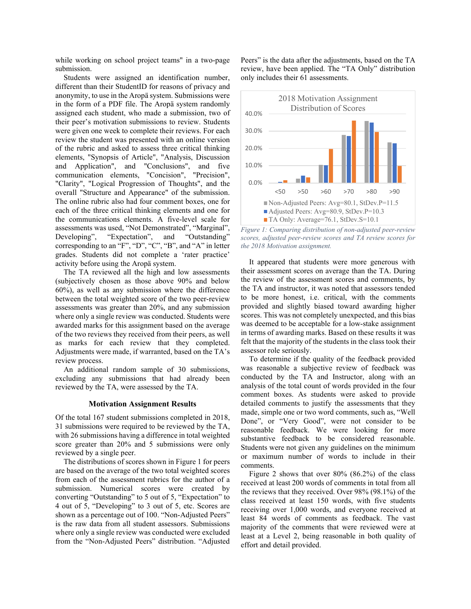while working on school project teams" in a two-page submission.

Students were assigned an identification number, different than their StudentID for reasons of privacy and anonymity, to use in the Aropä system. Submissions were in the form of a PDF file. The Aropä system randomly assigned each student, who made a submission, two of their peer's motivation submissions to review. Students were given one week to complete their reviews. For each review the student was presented with an online version of the rubric and asked to assess three critical thinking elements, "Synopsis of Article", "Analysis, Discussion and Application", and "Conclusions", and five communication elements, "Concision", "Precision", "Clarity", "Logical Progression of Thoughts", and the overall "Structure and Appearance" of the submission. The online rubric also had four comment boxes, one for each of the three critical thinking elements and one for the communications elements. A five-level scale for assessments was used, "Not Demonstrated", "Marginal", Developing", "Expectation", and "Outstanding" corresponding to an "F", "D", "C", "B", and "A" in letter grades. Students did not complete a 'rater practice' activity before using the Aropä system.

The TA reviewed all the high and low assessments (subjectively chosen as those above 90% and below 60%), as well as any submission where the difference between the total weighted score of the two peer-review assessments was greater than 20%, and any submission where only a single review was conducted. Students were awarded marks for this assignment based on the average of the two reviews they received from their peers, as well as marks for each review that they completed. Adjustments were made, if warranted, based on the TA's review process.

An additional random sample of 30 submissions, excluding any submissions that had already been reviewed by the TA, were assessed by the TA.

#### **Motivation Assignment Results**

Of the total 167 student submissions completed in 2018, 31 submissions were required to be reviewed by the TA, with 26 submissions having a difference in total weighted score greater than 20% and 5 submissions were only reviewed by a single peer.

The distributions of scores shown in Figure 1 for peers are based on the average of the two total weighted scores from each of the assessment rubrics for the author of a submission. Numerical scores were created by converting "Outstanding" to 5 out of 5, "Expectation" to 4 out of 5, "Developing" to 3 out of 5, etc. Scores are shown as a percentage out of 100. "Non-Adjusted Peers" is the raw data from all student assessors. Submissions where only a single review was conducted were excluded from the "Non-Adjusted Peers" distribution. "Adjusted

Peers" is the data after the adjustments, based on the TA review, have been applied. The "TA Only" distribution only includes their 61 assessments.



*Figure 1: Comparing distribution of non-adjusted peer-review scores, adjusted peer-review scores and TA review scores for the 2018 Motivation assignment.* 

It appeared that students were more generous with their assessment scores on average than the TA. During the review of the assessment scores and comments, by the TA and instructor, it was noted that assessors tended to be more honest, i.e. critical, with the comments provided and slightly biased toward awarding higher scores. This was not completely unexpected, and this bias was deemed to be acceptable for a low-stake assignment in terms of awarding marks. Based on these results it was felt that the majority of the students in the class took their assessor role seriously.

To determine if the quality of the feedback provided was reasonable a subjective review of feedback was conducted by the TA and Instructor, along with an analysis of the total count of words provided in the four comment boxes. As students were asked to provide detailed comments to justify the assessments that they made, simple one or two word comments, such as, "Well Done", or "Very Good", were not consider to be reasonable feedback. We were looking for more substantive feedback to be considered reasonable. Students were not given any guidelines on the minimum or maximum number of words to include in their comments.

Figure 2 shows that over 80% (86.2%) of the class received at least 200 words of comments in total from all the reviews that they received. Over 98% (98.1%) of the class received at least 150 words, with five students receiving over 1,000 words, and everyone received at least 84 words of comments as feedback. The vast majority of the comments that were reviewed were at least at a Level 2, being reasonable in both quality of effort and detail provided.